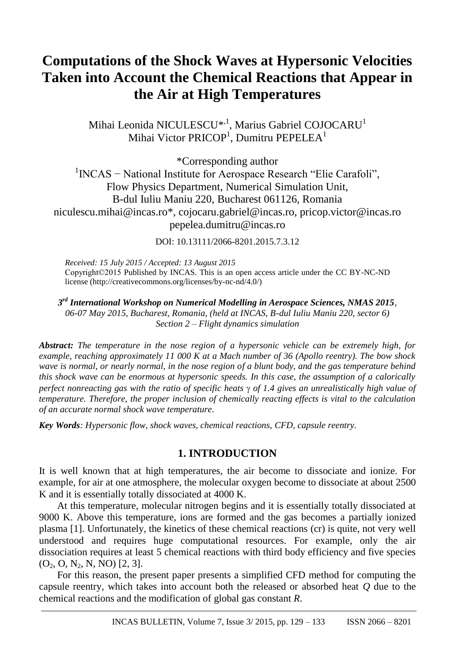# **Computations of the Shock Waves at Hypersonic Velocities Taken into Account the Chemical Reactions that Appear in the Air at High Temperatures**

Mihai Leonida NICULESCU<sup>\*, 1</sup>, Marius Gabriel COJOCARU<sup>1</sup> Mihai Victor PRICOP<sup>1</sup>, Dumitru PEPELEA<sup>1</sup>

\*Corresponding author 1 INCAS − National Institute for Aerospace Research "Elie Carafoli", Flow Physics Department, Numerical Simulation Unit, B-dul Iuliu Maniu 220, Bucharest 061126, Romania niculescu.mihai@incas.ro\*, cojocaru.gabriel@incas.ro, pricop.victor@incas.ro pepelea.dumitru@incas.ro

DOI: 10.13111/2066-8201.2015.7.3.12

*Received: 15 July 2015 / Accepted: 13 August 2015* Copyright©2015 Published by INCAS. This is an open access article under the CC BY-NC-ND license [\(http://creativecommons.org/licenses/by-nc-nd/4.0/\)](http://creativecommons.org/licenses/by-nc-nd/4.0/)

*3 rd International Workshop on Numerical Modelling in Aerospace Sciences, NMAS 2015, 06-07 May 2015, Bucharest, Romania, (held at INCAS, B-dul Iuliu Maniu 220, sector 6) Section 2 – Flight dynamics simulation*

*Abstract: The temperature in the nose region of a hypersonic vehicle can be extremely high, for example, reaching approximately 11 000 K at a Mach number of 36 (Apollo reentry). The bow shock wave is normal, or nearly normal, in the nose region of a blunt body, and the gas temperature behind this shock wave can be enormous at hypersonic speeds. In this case, the assumption of a calorically perfect nonreacting gas with the ratio of specific heats*  $\gamma$  *of 1.4 gives an unrealistically high value of temperature. Therefore, the proper inclusion of chemically reacting effects is vital to the calculation of an accurate normal shock wave temperature.*

*Key Words: Hypersonic flow, shock waves, chemical reactions, CFD, capsule reentry.*

## **1. INTRODUCTION**

It is well known that at high temperatures, the air become to dissociate and ionize. For example, for air at one atmosphere, the molecular oxygen become to dissociate at about 2500 K and it is essentially totally dissociated at 4000 K.

At this temperature, molecular nitrogen begins and it is essentially totally dissociated at 9000 K. Above this temperature, ions are formed and the gas becomes a partially ionized plasma [1]. Unfortunately, the kinetics of these chemical reactions (cr) is quite, not very well understood and requires huge computational resources. For example, only the air dissociation requires at least 5 chemical reactions with third body efficiency and five species  $(O_2, O, N_2, N, NO)$  [2, 3].

For this reason, the present paper presents a simplified CFD method for computing the capsule reentry, which takes into account both the released or absorbed heat *Q* due to the chemical reactions and the modification of global gas constant *R*.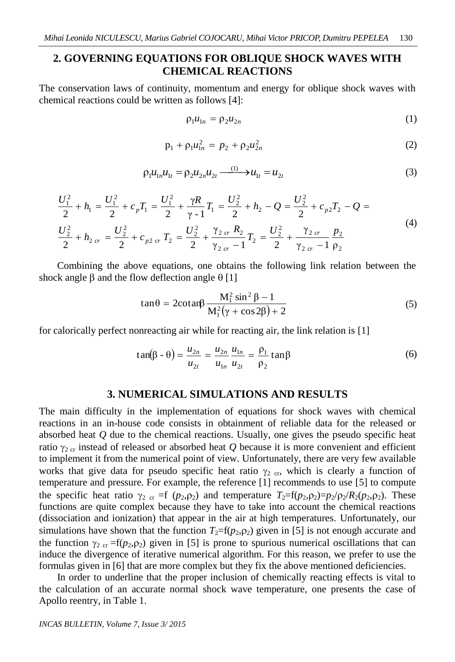# **2. GOVERNING EQUATIONS FOR OBLIQUE SHOCK WAVES WITH CHEMICAL REACTIONS**

The conservation laws of continuity, momentum and energy for oblique shock waves with chemical reactions could be written as follows [4]:

$$
\rho_1 u_{1n} = \rho_2 u_{2n} \tag{1}
$$

$$
p_1 + \rho_1 u_{1n}^2 = p_2 + \rho_2 u_{2n}^2 \tag{2}
$$

$$
\rho_1 u_{1n} u_{1t} = \rho_2 u_{2n} u_{2t} \xrightarrow{(1)} u_{1t} = u_{2t} \tag{3}
$$

$$
\frac{U_1^2}{2} + h_1 = \frac{U_1^2}{2} + c_p T_1 = \frac{U_1^2}{2} + \frac{\gamma R}{\gamma - 1} T_1 = \frac{U_2^2}{2} + h_2 - Q = \frac{U_2^2}{2} + c_{p2} T_2 - Q =
$$
\n
$$
\frac{U_2^2}{2} + h_{2\,cr} = \frac{U_2^2}{2} + c_{p2\,cr} T_2 = \frac{U_2^2}{2} + \frac{\gamma_{2\,cr}}{\gamma_{2\,cr} - 1} T_2 = \frac{U_2^2}{2} + \frac{\gamma_{2\,cr}}{\gamma_{2\,cr} - 1} \frac{p_2}{p_2}
$$
\n(4)

Combining the above equations, one obtains the following link relation between the shock angle  $\beta$  and the flow deflection angle  $\theta$  [1]

$$
\tan\theta = 2\cot\theta \frac{M_1^2 \sin^2\beta - 1}{M_1^2(\gamma + \cos 2\beta) + 2}
$$
 (5)

for calorically perfect nonreacting air while for reacting air, the link relation is [1]

$$
\tan(\beta - \theta) = \frac{u_{2n}}{u_{2t}} = \frac{u_{2n}}{u_{1n}} \frac{u_{1n}}{u_{2t}} = \frac{\rho_1}{\rho_2} \tan\beta
$$
 (6)

#### **3. NUMERICAL SIMULATIONS AND RESULTS**

The main difficulty in the implementation of equations for shock waves with chemical reactions in an in-house code consists in obtainment of reliable data for the released or absorbed heat *Q* due to the chemical reactions. Usually, one gives the pseudo specific heat ratio  $\gamma_{2\text{ cr}}$  instead of released or absorbed heat *Q* because it is more convenient and efficient to implement it from the numerical point of view. Unfortunately, there are very few available works that give data for pseudo specific heat ratio  $\gamma_{2 \text{ cr}}$ , which is clearly a function of temperature and pressure. For example, the reference [1] recommends to use [5] to compute the specific heat ratio  $\gamma_2$  <sub>cr</sub> =f ( $p_2, \rho_2$ ) and temperature  $T_2=f(p_2, \rho_2)=p_2/p_2/R_2(p_2, \rho_2)$ . These functions are quite complex because they have to take into account the chemical reactions (dissociation and ionization) that appear in the air at high temperatures. Unfortunately, our simulations have shown that the function  $T_2=f(p_2, p_2)$  given in [5] is not enough accurate and the function  $\gamma_{2 \text{ cr}} = f(p_2, p_2)$  given in [5] is prone to spurious numerical oscillations that can induce the divergence of iterative numerical algorithm. For this reason, we prefer to use the formulas given in [6] that are more complex but they fix the above mentioned deficiencies.

In order to underline that the proper inclusion of chemically reacting effects is vital to the calculation of an accurate normal shock wave temperature, one presents the case of Apollo reentry, in Table 1.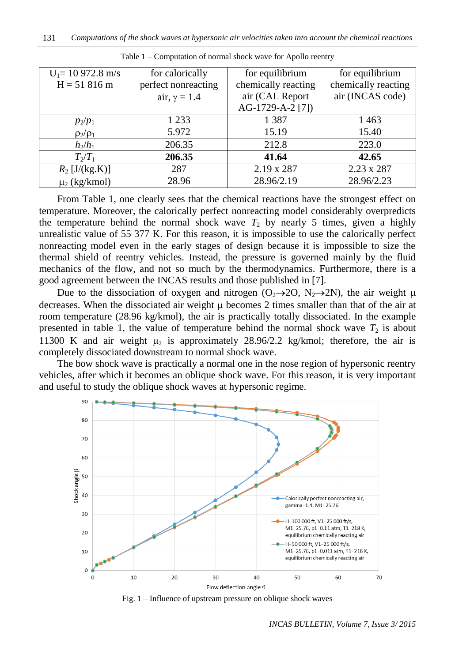| $U_1 = 10972.8$ m/s | for calorically     | for equilibrium     | for equilibrium     |
|---------------------|---------------------|---------------------|---------------------|
| $H = 51816$ m       | perfect nonreacting | chemically reacting | chemically reacting |
|                     | air, $\gamma = 1.4$ | air (CAL Report     | air (INCAS code)    |
|                     |                     | AG-1729-A-2 [7])    |                     |
| $p_2/p_1$           | 1 2 3 3             | 1 3 8 7             | 1463                |
| $\rho_2/\rho_1$     | 5.972               | 15.19               | 15.40               |
| $h_2/h_1$           | 206.35              | 212.8               | 223.0               |
| $T_2/T_1$           | 206.35              | 41.64               | 42.65               |
| $R_2$ [J/(kg.K)]    | 287                 | 2.19 x 287          | 2.23 x 287          |
| $\mu_2$ (kg/kmol)   | 28.96               | 28.96/2.19          | 28.96/2.23          |

Table 1 – Computation of normal shock wave for Apollo reentry

From Table 1, one clearly sees that the chemical reactions have the strongest effect on temperature. Moreover, the calorically perfect nonreacting model considerably overpredicts the temperature behind the normal shock wave  $T_2$  by nearly 5 times, given a highly unrealistic value of 55 377 K. For this reason, it is impossible to use the calorically perfect nonreacting model even in the early stages of design because it is impossible to size the thermal shield of reentry vehicles. Instead, the pressure is governed mainly by the fluid mechanics of the flow, and not so much by the thermodynamics. Furthermore, there is a good agreement between the INCAS results and those published in [7].

Due to the dissociation of oxygen and nitrogen  $(O_2 \rightarrow 2O, N_2 \rightarrow 2N)$ , the air weight  $\mu$ decreases. When the dissociated air weight  $\mu$  becomes 2 times smaller than that of the air at room temperature (28.96 kg/kmol), the air is practically totally dissociated. In the example presented in table 1, the value of temperature behind the normal shock wave  $T_2$  is about 11300 K and air weight  $\mu_2$  is approximately 28.96/2.2 kg/kmol; therefore, the air is completely dissociated downstream to normal shock wave.

The bow shock wave is practically a normal one in the nose region of hypersonic reentry vehicles, after which it becomes an oblique shock wave. For this reason, it is very important and useful to study the oblique shock waves at hypersonic regime.



Fig. 1 – Influence of upstream pressure on oblique shock waves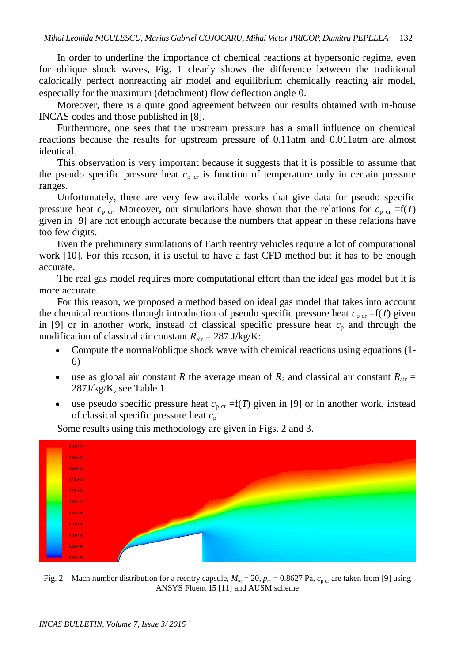In order to underline the importance of chemical reactions at hypersonic regime, even for oblique shock waves, Fig. 1 clearly shows the difference between the traditional calorically perfect nonreacting air model and equilibrium chemically reacting air model, especially for the maximum (detachment) flow deflection angle  $\theta$ .

Moreover, there is a quite good agreement between our results obtained with in-house INCAS codes and those published in [8].

Furthermore, one sees that the upstream pressure has a small influence on chemical reactions because the results for upstream pressure of 0.11atm and 0.011atm are almost identical.

This observation is very important because it suggests that it is possible to assume that the pseudo specific pressure heat  $c_{p}$   $_{cr}$  is function of temperature only in certain pressure ranges.

Unfortunately, there are very few available works that give data for pseudo specific pressure heat  $c_{p \text{ cr}}$ . Moreover, our simulations have shown that the relations for  $c_{p \text{ cr}} = f(T)$ given in [9] are not enough accurate because the numbers that appear in these relations have too few digits.

Even the preliminary simulations of Earth reentry vehicles require a lot of computational work [10]. For this reason, it is useful to have a fast CFD method but it has to be enough accurate.

The real gas model requires more computational effort than the ideal gas model but it is more accurate.

For this reason, we proposed a method based on ideal gas model that takes into account the chemical reactions through introduction of pseudo specific pressure heat  $c_{p \text{ cr}} = f(T)$  given in [9] or in another work, instead of classical specific pressure heat  $c_p$  and through the modification of classical air constant  $R_{\text{air}} = 287 \text{ J/kg/K}$ :

- Compute the normal/oblique shock wave with chemical reactions using equations (1- 6)
- use as global air constant *R* the average mean of  $R_2$  and classical air constant  $R_{air}$  = 287J/kg/K, see Table 1
- use pseudo specific pressure heat  $c_{p \text{cr}} = f(T)$  given in [9] or in another work, instead of classical specific pressure heat *c*<sup>p</sup>



Some results using this methodology are given in Figs. 2 and 3.

Fig. 2 – Mach number distribution for a reentry capsule,  $M_{\infty} = 20$ ,  $p_{\infty} = 0.8627$  Pa,  $c_{\text{p cr}}$  are taken from [9] using ANSYS Fluent 15 [11] and AUSM scheme